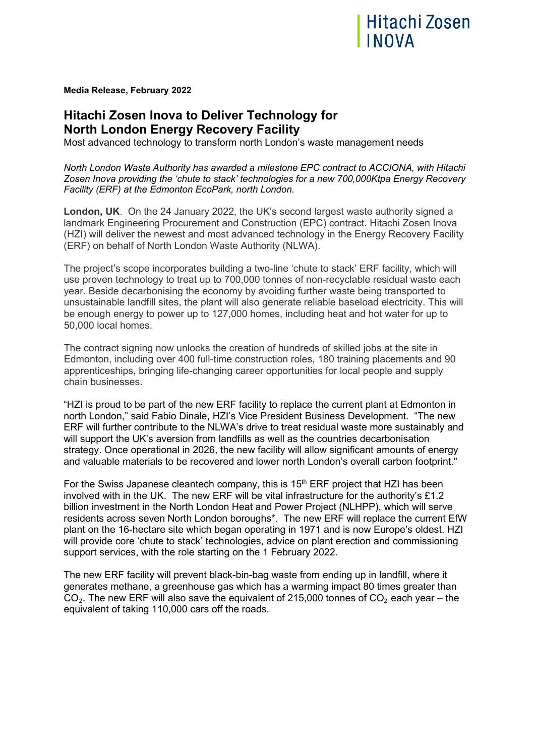

**Media Release, February 2022** 

## **Hitachi Zosen Inova to Deliver Technology for North London Energy Recovery Facility**

Most advanced technology to transform north London's waste management needs

*North London Waste Authority has awarded a milestone EPC contract to ACCIONA, with Hitachi Zosen Inova providing the 'chute to stack' technologies for a new 700,000Ktpa Energy Recovery Facility (ERF) at the Edmonton EcoPark, north London.*

**London, UK**. On the 24 January 2022, the UK's second largest waste authority signed a landmark Engineering Procurement and Construction (EPC) contract. Hitachi Zosen Inova (HZI) will deliver the newest and most advanced technology in the Energy Recovery Facility (ERF) on behalf of North London Waste Authority (NLWA).

The project's scope incorporates building a two-line 'chute to stack' ERF facility, which will use proven technology to treat up to 700,000 tonnes of non-recyclable residual waste each year. Beside decarbonising the economy by avoiding further waste being transported to unsustainable landfill sites, the plant will also generate reliable baseload electricity. This will be enough energy to power up to 127,000 homes, including heat and hot water for up to 50,000 local homes.

The contract signing now unlocks the creation of hundreds of skilled jobs at the site in Edmonton, including over 400 full-time construction roles, 180 training placements and 90 apprenticeships, bringing life-changing career opportunities for local people and supply chain businesses.

"HZI is proud to be part of the new ERF facility to replace the current plant at Edmonton in north London," said Fabio Dinale, HZI's Vice President Business Development. "The new ERF will further contribute to the NLWA's drive to treat residual waste more sustainably and will support the UK's aversion from landfills as well as the countries decarbonisation strategy. Once operational in 2026, the new facility will allow significant amounts of energy and valuable materials to be recovered and lower north London's overall carbon footprint."

For the Swiss Japanese cleantech company, this is  $15<sup>th</sup>$  ERF project that HZI has been involved with in the UK. The new ERF will be vital infrastructure for the authority's £1.2 billion investment in the North London Heat and Power Project (NLHPP), which will serve residents across seven North London boroughs\*. The new ERF will replace the current EfW plant on the 16-hectare site which began operating in 1971 and is now Europe's oldest. HZI will provide core 'chute to stack' technologies, advice on plant erection and commissioning support services, with the role starting on the 1 February 2022.

The new ERF facility will prevent black-bin-bag waste from ending up in landfill, where it generates methane, a greenhouse gas which has a warming impact 80 times greater than CO<sub>2</sub>. The new ERF will also save the equivalent of 215,000 tonnes of CO<sub>2</sub> each year – the equivalent of taking 110,000 cars off the roads.